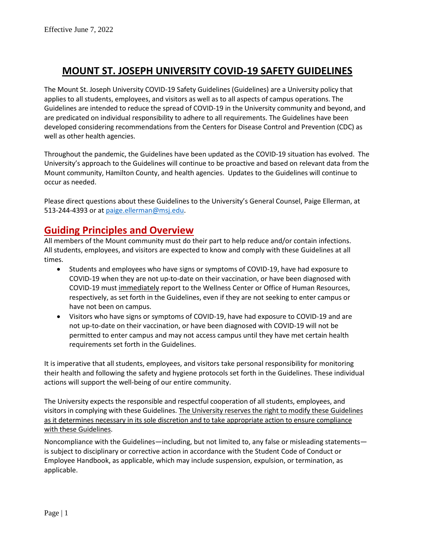# **MOUNT ST. JOSEPH UNIVERSITY COVID-19 SAFETY GUIDELINES**

The Mount St. Joseph University COVID-19 Safety Guidelines (Guidelines) are a University policy that applies to all students, employees, and visitors as well as to all aspects of campus operations. The Guidelines are intended to reduce the spread of COVID-19 in the University community and beyond, and are predicated on individual responsibility to adhere to all requirements. The Guidelines have been developed considering recommendations from the Centers for Disease Control and Prevention (CDC) as well as other health agencies.

Throughout the pandemic, the Guidelines have been updated as the COVID-19 situation has evolved. The University's approach to the Guidelines will continue to be proactive and based on relevant data from the Mount community, Hamilton County, and health agencies. Updates to the Guidelines will continue to occur as needed.

Please direct questions about these Guidelines to the University's General Counsel, Paige Ellerman, at 513-244-4393 or at [paige.ellerman@msj.edu.](mailto:paige.ellerman@msj.edu)

### **Guiding Principles and Overview**

All members of the Mount community must do their part to help reduce and/or contain infections. All students, employees, and visitors are expected to know and comply with these Guidelines at all times.

- Students and employees who have signs or symptoms of COVID-19, have had exposure to COVID-19 when they are not up-to-date on their vaccination, or have been diagnosed with COVID-19 must immediately report to the Wellness Center or Office of Human Resources, respectively, as set forth in the Guidelines, even if they are not seeking to enter campus or have not been on campus.
- Visitors who have signs or symptoms of COVID-19, have had exposure to COVID-19 and are not up-to-date on their vaccination, or have been diagnosed with COVID-19 will not be permitted to enter campus and may not access campus until they have met certain health requirements set forth in the Guidelines.

It is imperative that all students, employees, and visitors take personal responsibility for monitoring their health and following the safety and hygiene protocols set forth in the Guidelines. These individual actions will support the well-being of our entire community.

The University expects the responsible and respectful cooperation of all students, employees, and visitors in complying with these Guidelines. The University reserves the right to modify these Guidelines as it determines necessary in its sole discretion and to take appropriate action to ensure compliance with these Guidelines.

Noncompliance with the Guidelines—including, but not limited to, any false or misleading statements is subject to disciplinary or corrective action in accordance with the Student Code of Conduct or Employee Handbook, as applicable, which may include suspension, expulsion, or termination, as applicable.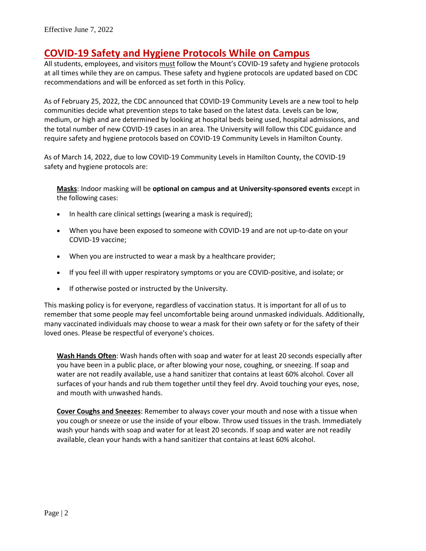# **COVID-19 Safety and Hygiene Protocols While on Campus**

All students, employees, and visitors must follow the Mount's COVID-19 safety and hygiene protocols at all times while they are on campus. These safety and hygiene protocols are updated based on CDC recommendations and will be enforced as set forth in this Policy.

As of February 25, 2022, the CDC announced that COVID-19 Community Levels are a new tool to help communities decide what prevention steps to take based on the latest data. Levels can be low, medium, or high and are determined by looking at hospital beds being used, hospital admissions, and the total number of new COVID-19 cases in an area. The University will follow this CDC guidance and require safety and hygiene protocols based on COVID-19 Community Levels in Hamilton County.

As of March 14, 2022, due to low COVID-19 Community Levels in Hamilton County, the COVID-19 safety and hygiene protocols are:

**Masks**: Indoor masking will be **optional on campus and at University-sponsored events** except in the following cases:

- In health care clinical settings (wearing a mask is required);
- When you have been exposed to someone with COVID-19 and are not up-to-date on your COVID-19 vaccine;
- When you are instructed to wear a mask by a healthcare provider;
- If you feel ill with upper respiratory symptoms or you are COVID-positive, and isolate; or
- If otherwise posted or instructed by the University.

This masking policy is for everyone, regardless of vaccination status. It is important for all of us to remember that some people may feel uncomfortable being around unmasked individuals. Additionally, many vaccinated individuals may choose to wear a mask for their own safety or for the safety of their loved ones. Please be respectful of everyone's choices.

**Wash Hands Often**: Wash hands often with soap and water for at least 20 seconds especially after you have been in a public place, or after blowing your nose, coughing, or sneezing. If soap and water are not readily available, use a hand sanitizer that contains at least 60% alcohol. Cover all surfaces of your hands and rub them together until they feel dry. Avoid touching your eyes, nose, and mouth with unwashed hands.

**Cover Coughs and Sneezes**: Remember to always cover your mouth and nose with a tissue when you cough or sneeze or use the inside of your elbow. Throw used tissues in the trash. Immediately wash your hands with soap and water for at least 20 seconds. If soap and water are not readily available, clean your hands with a hand sanitizer that contains at least 60% alcohol.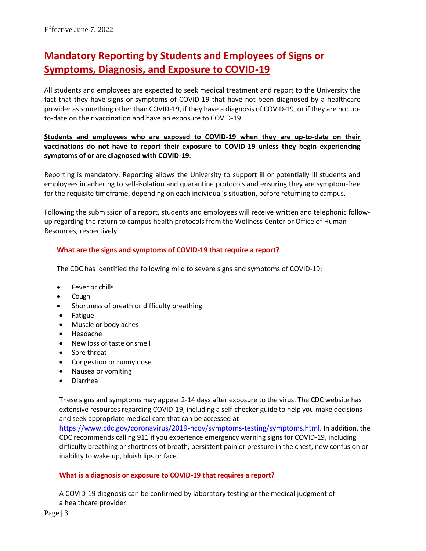# **Mandatory Reporting by Students and Employees of Signs or Symptoms, Diagnosis, and Exposure to COVID-19**

All students and employees are expected to seek medical treatment and report to the University the fact that they have signs or symptoms of COVID-19 that have not been diagnosed by a healthcare provider as something other than COVID-19, if they have a diagnosis of COVID-19, or if they are not upto-date on their vaccination and have an exposure to COVID-19.

### **Students and employees who are exposed to COVID-19 when they are up-to-date on their vaccinations do not have to report their exposure to COVID-19 unless they begin experiencing symptoms of or are diagnosed with COVID-19**.

Reporting is mandatory. Reporting allows the University to support ill or potentially ill students and employees in adhering to self-isolation and quarantine protocols and ensuring they are symptom-free for the requisite timeframe, depending on each individual's situation, before returning to campus.

Following the submission of a report, students and employees will receive written and telephonic followup regarding the return to campus health protocols from the Wellness Center or Office of Human Resources, respectively.

### **What are the signs and symptoms of COVID-19 that require a report?**

The CDC has identified the following mild to severe signs and symptoms of COVID-19:

- Fever or chills
- Cough
- Shortness of breath or difficulty breathing
- Fatigue
- Muscle or body aches
- Headache
- New loss of taste or smell
- Sore throat
- Congestion or runny nose
- Nausea or vomiting
- Diarrhea

These signs and symptoms may appear 2-14 days after exposure to the virus. The CDC website has extensive resources regarding COVID-19, including a self-checker guide to help you make decisions and seek appropriate medical care that can be accessed [at](https://protect-us.mimecast.com/s/Z3YECJ6YKZTg850ntV_zrw?domain=cdc.gov)

[https://www.cdc.gov/coronavirus/2019-ncov/symptoms-testing/symptoms.html.](https://www.cdc.gov/coronavirus/2019-ncov/symptoms-testing/symptoms.html) In addition, the CDC recommends calling 911 if you experience emergency warning signs for COVID-19, including difficulty breathing or shortness of breath, persistent pain or pressure in the chest, new confusion or inability to wake up, bluish lips or face.

#### **What is a diagnosis or exposure to COVID-19 that requires a report?**

A COVID-19 diagnosis can be confirmed by laboratory testing or the medical judgment of a healthcare provider.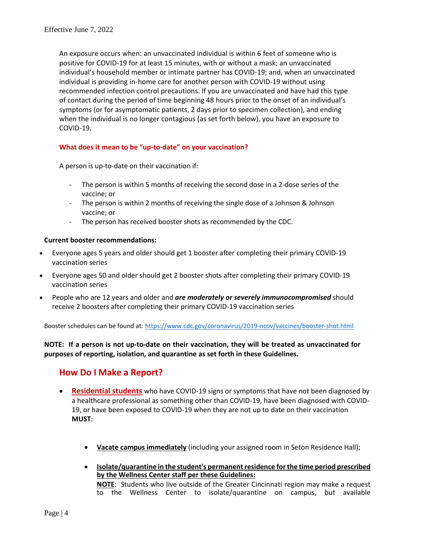An exposure occurs when: an unvaccinated individual is within 6 feet of someone who is positive for COVID-19 for at least 15 minutes, with or without a mask; an unvaccinated individual's household member or intimate partner has COVID-19; and, when an unvaccinated individual is providing in-home care for another person with COVID-19 without using recommended infection control precautions. If you are unvaccinated and have had this type of contact during the period of time beginning 48 hours prior to the onset of an individual's symptoms (or for asymptomatic patients, 2 days prior to specimen collection), and ending when the individual is no longer contagious (as set forth below), you have an exposure to COVID-19.

#### **What does it mean to be "up-to-date" on your vaccination?**

A person is up-to-date on their vaccination if:

- The person is within 5 months of receiving the second dose in a 2-dose series of the vaccine; or
- The person is within 2 months of receiving the single dose of a Johnson & Johnson vaccine; or
- The person has received booster shots as recommended by the CDC.

#### **Current booster recommendations:**

- Everyone ages 5 years and older should get 1 booster after completing their primary COVID-19 vaccination series
- Everyone ages 50 and older should get 2 booster shots after completing their primary COVID-19 vaccination series
- People who are 12 years and older and *are moderately or severely immunocompromised* should receive 2 boosters after completing their primary COVID-19 vaccination series

Booster schedules can be found at[: https://www.cdc.gov/coronavirus/2019-ncov/vaccines/booster-shot.html](https://www.cdc.gov/coronavirus/2019-ncov/vaccines/booster-shot.html)

**NOTE: If a person is not up-to-date on their vaccination, they will be treated as unvaccinated for purposes of reporting, isolation, and quarantine as set forth in these Guidelines.** 

### **How Do I Make a Report?**

- **Residential students** who have COVID-19 signs or symptoms that have not been diagnosed by a healthcare professional as something other than COVID-19, have been diagnosed with COVID-19, or have been exposed to COVID-19 when they are not up to date on their vaccination **MUST**:
	- **Vacate campus immediately** (including your assigned room in Seton Residence Hall);
	- **Isolate/quarantine in the student's permanent residence for the time period prescribed by the Wellness Center staff per these Guidelines: NOTE**: Students who live outside of the Greater Cincinnati region may make a request to the Wellness Center to isolate/quarantine on campus, but available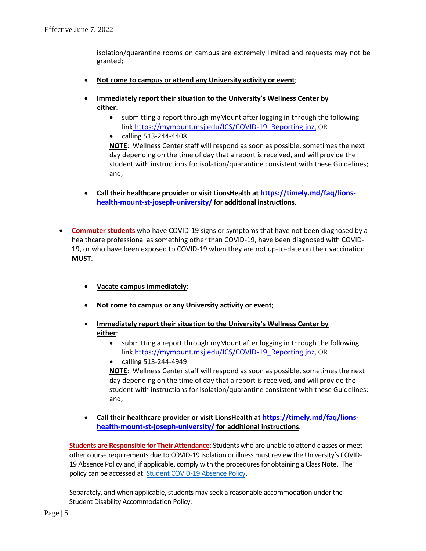isolation/quarantine rooms on campus are extremely limited and requests may not be granted;

- **Not come to campus or attend any University activity or event**;
- **<u>Immediately report their situation to the University's Wellness Center by</u> either**:
	- submitting a report through myMount after logging in through the following link [https://mymount.msj.edu/ICS/COVID-19\\_Reporting.jnz](https://or/), OR
	- calling 513-244-4408

**NOTE**: Wellness Center staff will respond as soon as possible, sometimes the next day depending on the time of day that a report is received, and will provide the student with instructions for isolation/quarantine consistent with these Guidelines; and,

- **Call their healthcare provider or visit LionsHealth at [https://timely.md/faq/lions](https://timely.md/faq/lions-health-mount-st-joseph-university/)[health-mount-st-joseph-university/](https://timely.md/faq/lions-health-mount-st-joseph-university/) for additional instructions**.
- **Commuter students** who have COVID-19 signs or symptoms that have not been diagnosed by a healthcare professional as something other than COVID-19, have been diagnosed with COVID-19, or who have been exposed to COVID-19 when they are not up-to-date on their vaccination **MUST**:
	- **Vacate campus immediately**;
	- **Not come to campus or any University activity or event**;
	- **Immediately report their situation to the University's Wellness Center by either**:
		- submitting a report through myMount after logging in through the following link [https://mymount.msj.edu/ICS/COVID-19\\_Reporting.jnz](https://or/), OR
		- calling 513-244-4949

**NOTE**: Wellness Center staff will respond as soon as possible, sometimes the next day depending on the time of day that a report is received, and will provide the student with instructions for isolation/quarantine consistent with these Guidelines; and,

• **Call their healthcare provider or visit LionsHealth at [https://timely.md/faq/lions](https://timely.md/faq/lions-health-mount-st-joseph-university/)[health-mount-st-joseph-university/](https://timely.md/faq/lions-health-mount-st-joseph-university/) for additional instructions**.

**Students are Responsible for Their Attendance**: Students who are unable to attend classes or meet other course requirements due to COVID-19 isolation or illness must review the University's COVID-19 Absence Policy and, if applicable, comply with the procedures for obtaining a Class Note. The policy can be accessed at: Student [COVID-19 Absence Policy.](https://mymount.msj.edu/ICS/Mount_Community/Wellness_Center/COVID-19_Resources.jnz?portlet=Bookmarks)

Separately, and when applicable, students may seek a reasonable accommodation under the Student Disability Accommodation Policy: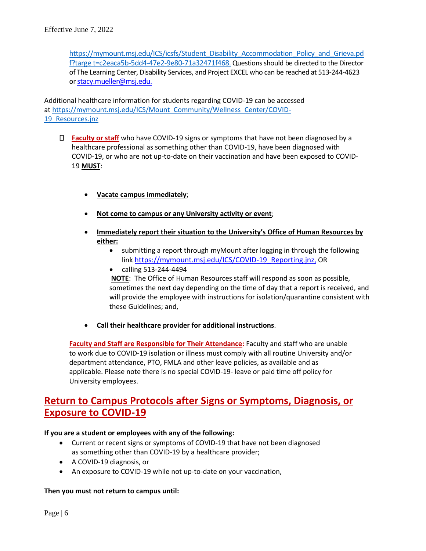[https://mymount.msj.edu/ICS/icsfs/Student\\_Disability\\_Accommodation\\_Policy\\_and\\_Grieva.pd](https://mymount.msj.edu/ICS/icsfs/Student_Disability_Accommodation_Policy_and_Grieva.pdf?target=bda0d22d-dfa9-4c01-9554-67a63d307eab) [f?targe t=c2eaca5b-5dd4-47e2-9e80-71a32471f468](https://mymount.msj.edu/ICS/icsfs/Student_Disability_Accommodation_Policy_and_Grieva.pdf?target=bda0d22d-dfa9-4c01-9554-67a63d307eab). Questions should be directed to the Director of The Learning Center, Disability Services, and Project EXCEL who can be reached at 513-244-4623 or [stacy.mueller@msj.edu](mailto:stacy.mueller@msj.edu).

Additional healthcare information for students regarding COVID-19 can be accessed at [https://mymount.msj.edu/ICS/Mount\\_Community/Wellness\\_Center/COVID-](https://mymount.msj.edu/ICS/Mount_Community/Wellness_Center/COVID-19_Resources.jnz)19 Resources.jnz

- **Faculty or staff** who have COVID-19 signs or symptoms that have not been diagnosed by a healthcare professional as something other than COVID-19, have been diagnosed with COVID-19, or who are not up-to-date on their vaccination and have been exposed to COVID-19 **MUST**:
	- **Vacate campus immediately**;
	- **Not come to campus or any University activity or event**;
	- **Immediately report their situation to the University's Office of Human Resources by either:**
		- submitting a report through myMount after logging in through the following link [https://mymount.msj.edu/ICS/COVID-19\\_Reporting.jnz](https://mymount.msj.edu/ICS/COVID-19_Reporting.jnz), OR
		- calling 513-244-4494

**NOTE**: The Office of Human Resources staff will respond as soon as possible, sometimes the next day depending on the time of day that a report is received, and will provide the employee with instructions for isolation/quarantine consistent with these Guidelines; and,

• **Call their healthcare provider for additional instructions**.

**Faculty and Staff are Responsible for Their Attendance:** Faculty and staff who are unable to work due to COVID-19 isolation or illness must comply with all routine University and/or department attendance, PTO, FMLA and other leave policies, as available and as applicable. Please note there is no special COVID-19- leave or paid time off policy for University employees.

# **Return to Campus Protocols after Signs or Symptoms, Diagnosis, or Exposure to COVID-19**

#### **If you are a student or employees with any of the following:**

- Current or recent signs or symptoms of COVID-19 that have not been diagnosed as something other than COVID-19 by a healthcare provider;
- A COVID-19 diagnosis, or
- An exposure to COVID-19 while not up-to-date on your vaccination,

#### **Then you must not return to campus until:**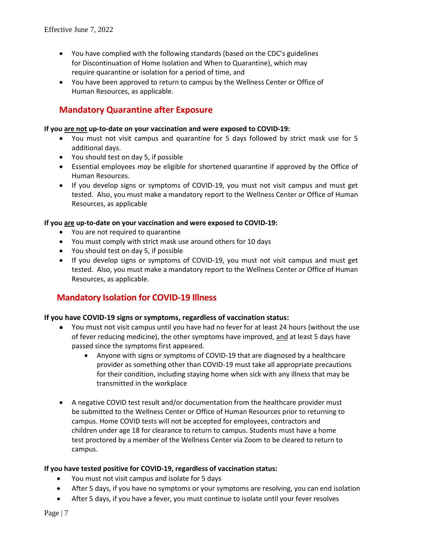- You have complied with the following standards (based on the CDC's guidelines for Discontinuation of Home Isolation and When to Quarantine), which may require quarantine or isolation for a period of time, and
- You have been approved to return to campus by the Wellness Center or Office of Human Resources, as applicable.

### **Mandatory Quarantine after Exposure**

#### **If you are not up-to-date on your vaccination and were exposed to COVID-19:**

- You must not visit campus and quarantine for 5 days followed by strict mask use for 5 additional days.
- You should test on day 5, if possible
- Essential employees *may* be eligible for shortened quarantine if approved by the Office of Human Resources.
- If you develop signs or symptoms of COVID-19, you must not visit campus and must get tested. Also, you must make a mandatory report to the Wellness Center or Office of Human Resources, as applicable

#### **If you are up-to-date on your vaccination and were exposed to COVID-19:**

- You are not required to quarantine
- You must comply with strict mask use around others for 10 days
- You should test on day 5, if possible
- If you develop signs or symptoms of COVID-19, you must not visit campus and must get tested. Also, you must make a mandatory report to the Wellness Center or Office of Human Resources, as applicable.

### **Mandatory Isolation for COVID-19 Illness**

#### **If you have COVID-19 signs or symptoms, regardless of vaccination status:**

- You must not visit campus until you have had no fever for at least 24 hours (without the use of fever reducing medicine), the other symptoms have improved, and at least 5 days have passed since the symptoms first appeared.
	- Anyone with signs or symptoms of COVID-19 that are diagnosed by a healthcare provider as something other than COVID-19 must take all appropriate precautions for their condition, including staying home when sick with any illness that may be transmitted in the workplace
- A negative COVID test result and/or documentation from the healthcare provider must be submitted to the Wellness Center or Office of Human Resources prior to returning to campus. Home COVID tests will not be accepted for employees, contractors and children under age 18 for clearance to return to campus. Students must have a home test proctored by a member of the Wellness Center via Zoom to be cleared to return to campus.

#### **If you have tested positive for COVID-19, regardless of vaccination status:**

- You must not visit campus and isolate for 5 days
- After 5 days, if you have no symptoms or your symptoms are resolving, you can end isolation
- After 5 days, if you have a fever, you must continue to isolate until your fever resolves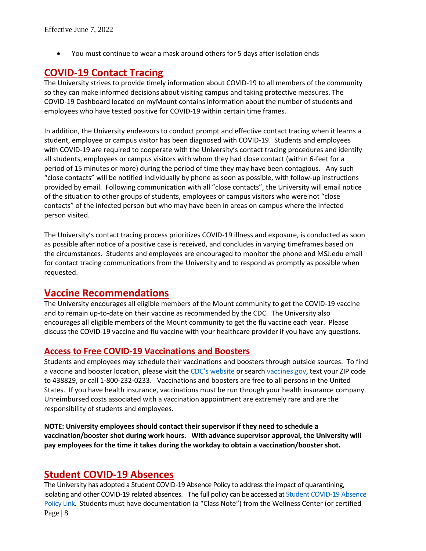• You must continue to wear a mask around others for 5 days after isolation ends

# **COVID-19 Contact Tracing**

The University strives to provide timely information about COVID-19 to all members of the community so they can make informed decisions about visiting campus and taking protective measures. The [COVID-19 Dashboard](https://mymount.msj.edu/ICS/Mount_Community/Wellness_Center/COVID-19_Resources.jnz) located on myMount contains information about the number of students and employees who have tested positive for COVID-19 within certain time frames.

In addition, the University endeavors to conduct prompt and effective contact tracing when it learns a student, employee or campus visitor has been diagnosed with COVID-19. Students and employees with COVID-19 are required to cooperate with the University's contact tracing procedures and identify all students, employees or campus visitors with whom they had close contact (within 6-feet for a period of 15 minutes or more) during the period of time they may have been contagious. Any such "close contacts" will be notified individually by phone as soon as possible, with follow-up instructions provided by email. Following communication with all "close contacts", the University will email notice of the situation to other groups of students, employees or campus visitors who were not "close contacts" of the infected person but who may have been in areas on campus where the infected person visited.

The University's contact tracing process prioritizes COVID-19 illness and exposure, is conducted as soon as possible after notice of a positive case is received, and concludes in varying timeframes based on the circumstances. Students and employees are encouraged to monitor the phone and MSJ.edu email for contact tracing communications from the University and to respond as promptly as possible when requested.

# **Vaccine Recommendations**

The University encourages all eligible members of the Mount community to get the COVID-19 vaccine and to remain up-to-date on their vaccine as recommended by the CDC. The University also encourages all eligible members of the Mount community to get the flu vaccine each year. Please discuss the COVID-19 vaccine and flu vaccine with your healthcare provider if you have any questions.

### **Access to Free COVID-19 Vaccinations and Boosters**

Students and employees may schedule their vaccinations and boosters through outside sources. To find a vaccine and booster location, please visit the CDC'[s website](https://www.cdc.gov/coronavirus/2019-ncov/vaccines/How-Do-I-Get-a-COVID-19-Vaccine.html?s_cid=10505:where%20can%20i%20get%20immunizations:sem.ga:p:RG:GM:gen:PTN:FY21) or search [vaccines.gov,](https://www.vaccines.gov/) text your ZIP code to 438829, or call 1-800-232-0233. Vaccinations and boosters are free to all persons in the United States. If you have health insurance, vaccinations must be run through your health insurance company. Unreimbursed costs associated with a vaccination appointment are extremely rare and are the responsibility of students and employees.

**NOTE: University employees should contact their supervisor if they need to schedule a vaccination/booster shot during work hours. With advance supervisor approval, the University will pay employees for the time it takes during the workday to obtain a vaccination/booster shot.** 

### **Student COVID-19 Absences**

Page | 8 The University has adopted a Student COVID-19 Absence Policy to address the impact of quarantining, isolating and other COVID-19 related absences. The full policy can be accessed at [Student COVID-19 Absence](https://mymount.msj.edu/ICS/Mount_Community/Wellness_Center/COVID-19_Resources.jnz?portlet=Bookmarks)  [Policy Link.](https://mymount.msj.edu/ICS/Mount_Community/Wellness_Center/COVID-19_Resources.jnz?portlet=Bookmarks) Students must have documentation (a "Class Note") from the Wellness Center (or certified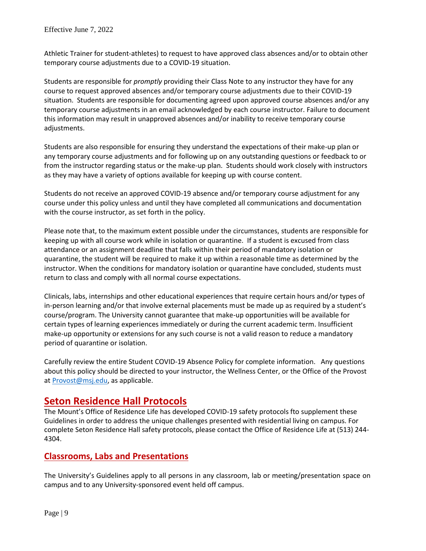Athletic Trainer for student-athletes) to request to have approved class absences and/or to obtain other temporary course adjustments due to a COVID-19 situation.

Students are responsible for *promptly* providing their Class Note to any instructor they have for any course to request approved absences and/or temporary course adjustments due to their COVID-19 situation. Students are responsible for documenting agreed upon approved course absences and/or any temporary course adjustments in an email acknowledged by each course instructor. Failure to document this information may result in unapproved absences and/or inability to receive temporary course adjustments.

Students are also responsible for ensuring they understand the expectations of their make-up plan or any temporary course adjustments and for following up on any outstanding questions or feedback to or from the instructor regarding status or the make-up plan. Students should work closely with instructors as they may have a variety of options available for keeping up with course content.

Students do not receive an approved COVID-19 absence and/or temporary course adjustment for any course under this policy unless and until they have completed all communications and documentation with the course instructor, as set forth in the policy.

Please note that, to the maximum extent possible under the circumstances, students are responsible for keeping up with all course work while in isolation or quarantine. If a student is excused from class attendance or an assignment deadline that falls within their period of mandatory isolation or quarantine, the student will be required to make it up within a reasonable time as determined by the instructor. When the conditions for mandatory isolation or quarantine have concluded, students must return to class and comply with all normal course expectations.

Clinicals, labs, internships and other educational experiences that require certain hours and/or types of in-person learning and/or that involve external placements must be made up as required by a student's course/program. The University cannot guarantee that make-up opportunities will be available for certain types of learning experiences immediately or during the current academic term. Insufficient make-up opportunity or extensions for any such course is not a valid reason to reduce a mandatory period of quarantine or isolation.

Carefully review the entire Student COVID-19 Absence Policy for complete information. Any questions about this policy should be directed to your instructor, the Wellness Center, or the Office of the Provost at [Provost@msj.edu,](mailto:Provost@msj.edu) as applicable.

## **Seton Residence Hall Protocols**

The Mount's Office of Residence Life has developed COVID-19 safety protocols fto supplement these Guidelines in order to address the unique challenges presented with residential living on campus. For complete Seton Residence Hall safety protocols, please contact the Office of Residence Life at (513) 244- 4304.

### **Classrooms, Labs and Presentations**

The University's Guidelines apply to all persons in any classroom, lab or meeting/presentation space on campus and to any University-sponsored event held off campus.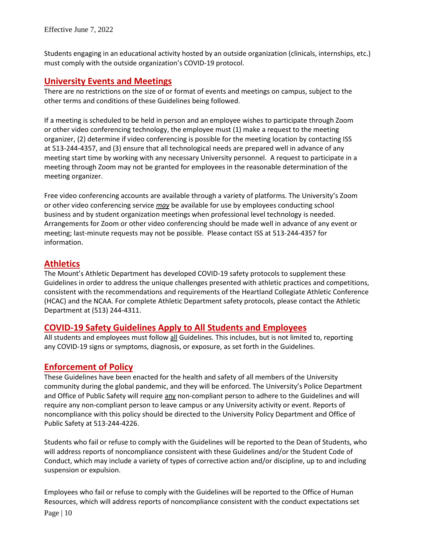Students engaging in an educational activity hosted by an outside organization (clinicals, internships, etc.) must comply with the outside organization's COVID-19 protocol.

### **University Events and Meetings**

There are no restrictions on the size of or format of events and meetings on campus, subject to the other terms and conditions of these Guidelines being followed.

If a meeting is scheduled to be held in person and an employee wishes to participate through Zoom or other video conferencing technology, the employee must (1) make a request to the meeting organizer, (2) determine if video conferencing is possible for the meeting location by contacting ISS at 513-244-4357, and (3) ensure that all technological needs are prepared well in advance of any meeting start time by working with any necessary University personnel. A request to participate in a meeting through Zoom may not be granted for employees in the reasonable determination of the meeting organizer.

Free video conferencing accounts are available through a variety of platforms. The University's Zoom or other video conferencing service *may* be available for use by employees conducting school business and by student organization meetings when professional level technology is needed. Arrangements for Zoom or other video conferencing should be made well in advance of any event or meeting; last-minute requests may not be possible. Please contact ISS at 513-244-4357 for information.

### **Athletics**

The Mount's Athletic Department has developed COVID-19 safety protocols to supplement these Guidelines in order to address the unique challenges presented with athletic practices and competitions, consistent with the recommendations and requirements of the Heartland Collegiate Athletic Conference (HCAC) and the NCAA. For complete Athletic Department safety protocols, please contact the Athletic Department at (513) 244-4311.

### **COVID-19 Safety Guidelines Apply to All Students and Employees**

All students and employees must follow all Guidelines. This includes, but is not limited to, reporting any COVID-19 signs or symptoms, diagnosis, or exposure, as set forth in the Guidelines.

### **Enforcement of Policy**

These Guidelines have been enacted for the health and safety of all members of the University community during the global pandemic, and they will be enforced. The University's Police Department and Office of Public Safety will require any non-compliant person to adhere to the Guidelines and will require any non-compliant person to leave campus or any University activity or event. Reports of noncompliance with this policy should be directed to the University Policy Department and Office of Public Safety at 513-244-4226.

Students who fail or refuse to comply with the Guidelines will be reported to the Dean of Students, who will address reports of noncompliance consistent with these Guidelines and/or the Student Code of Conduct, which may include a variety of types of corrective action and/or discipline, up to and including suspension or expulsion.

Page | 10 Employees who fail or refuse to comply with the Guidelines will be reported to the Office of Human Resources, which will address reports of noncompliance consistent with the conduct expectations set